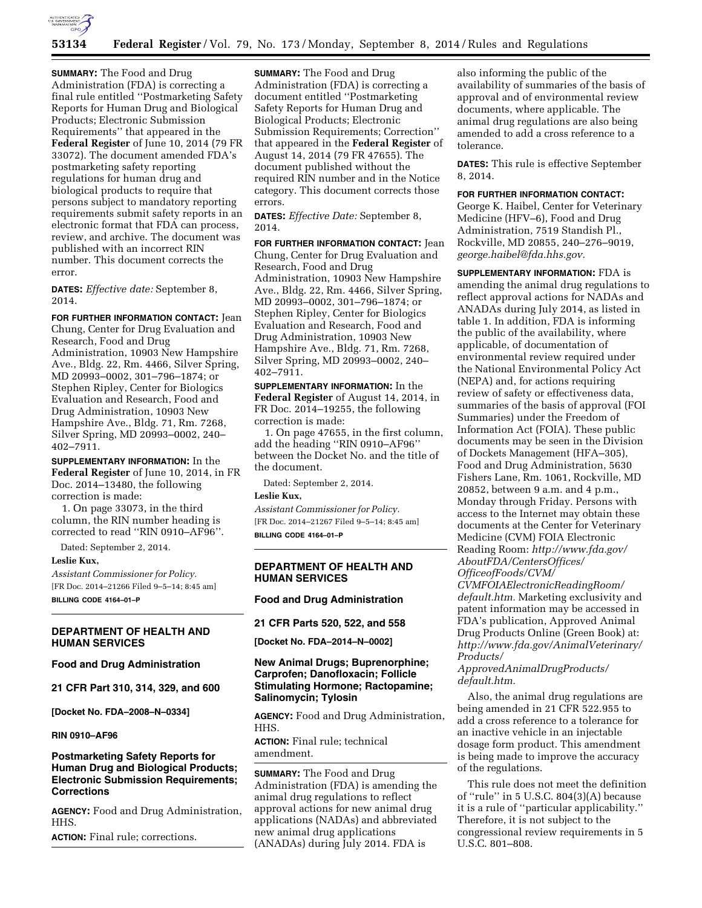

**SUMMARY:** The Food and Drug Administration (FDA) is correcting a final rule entitled ''Postmarketing Safety Reports for Human Drug and Biological Products; Electronic Submission Requirements'' that appeared in the **Federal Register** of June 10, 2014 (79 FR 33072). The document amended FDA's postmarketing safety reporting regulations for human drug and biological products to require that persons subject to mandatory reporting requirements submit safety reports in an electronic format that FDA can process, review, and archive. The document was published with an incorrect RIN number. This document corrects the error.

**DATES:** *Effective date:* September 8, 2014.

**FOR FURTHER INFORMATION CONTACT:** Jean Chung, Center for Drug Evaluation and Research, Food and Drug Administration, 10903 New Hampshire Ave., Bldg. 22, Rm. 4466, Silver Spring, MD 20993–0002, 301–796–1874; or Stephen Ripley, Center for Biologics Evaluation and Research, Food and Drug Administration, 10903 New Hampshire Ave., Bldg. 71, Rm. 7268, Silver Spring, MD 20993–0002, 240– 402–7911.

**SUPPLEMENTARY INFORMATION:** In the **Federal Register** of June 10, 2014, in FR Doc. 2014–13480, the following correction is made:

1. On page 33073, in the third column, the RIN number heading is corrected to read ''RIN 0910–AF96''.

Dated: September 2, 2014.

#### **Leslie Kux,**

*Assistant Commissioner for Policy.*  [FR Doc. 2014–21266 Filed 9–5–14; 8:45 am]

**BILLING CODE 4164–01–P** 

### **DEPARTMENT OF HEALTH AND HUMAN SERVICES**

#### **Food and Drug Administration**

**21 CFR Part 310, 314, 329, and 600** 

**[Docket No. FDA–2008–N–0334]** 

#### **RIN 0910–AF96**

## **Postmarketing Safety Reports for Human Drug and Biological Products; Electronic Submission Requirements; Corrections**

**AGENCY:** Food and Drug Administration, HHS.

**ACTION:** Final rule; corrections.

**SUMMARY:** The Food and Drug Administration (FDA) is correcting a document entitled ''Postmarketing Safety Reports for Human Drug and Biological Products; Electronic Submission Requirements; Correction'' that appeared in the **Federal Register** of August 14, 2014 (79 FR 47655). The document published without the required RIN number and in the Notice category. This document corrects those errors.

**DATES:** *Effective Date:* September 8, 2014.

**FOR FURTHER INFORMATION CONTACT:** Jean Chung, Center for Drug Evaluation and Research, Food and Drug Administration, 10903 New Hampshire Ave., Bldg. 22, Rm. 4466, Silver Spring, MD 20993–0002, 301–796–1874; or Stephen Ripley, Center for Biologics Evaluation and Research, Food and Drug Administration, 10903 New Hampshire Ave., Bldg. 71, Rm. 7268, Silver Spring, MD 20993–0002, 240– 402–7911.

**SUPPLEMENTARY INFORMATION:** In the **Federal Register** of August 14, 2014, in FR Doc. 2014–19255, the following correction is made:

1. On page 47655, in the first column, add the heading ''RIN 0910–AF96'' between the Docket No. and the title of the document.

Dated: September 2, 2014.

### **Leslie Kux,**

*Assistant Commissioner for Policy.*  [FR Doc. 2014–21267 Filed 9–5–14; 8:45 am] **BILLING CODE 4164–01–P** 

## **DEPARTMENT OF HEALTH AND HUMAN SERVICES**

### **Food and Drug Administration**

## **21 CFR Parts 520, 522, and 558**

**[Docket No. FDA–2014–N–0002]** 

## **New Animal Drugs; Buprenorphine; Carprofen; Danofloxacin; Follicle Stimulating Hormone; Ractopamine; Salinomycin; Tylosin**

**AGENCY:** Food and Drug Administration, HHS.

**ACTION:** Final rule; technical amendment.

**SUMMARY:** The Food and Drug Administration (FDA) is amending the animal drug regulations to reflect approval actions for new animal drug applications (NADAs) and abbreviated new animal drug applications (ANADAs) during July 2014. FDA is

also informing the public of the availability of summaries of the basis of approval and of environmental review documents, where applicable. The animal drug regulations are also being amended to add a cross reference to a tolerance.

**DATES:** This rule is effective September 8, 2014.

## **FOR FURTHER INFORMATION CONTACT:**

George K. Haibel, Center for Veterinary Medicine (HFV–6), Food and Drug Administration, 7519 Standish Pl., Rockville, MD 20855, 240–276–9019, *[george.haibel@fda.hhs.gov.](mailto:george.haibel@fda.hhs.gov)* 

**SUPPLEMENTARY INFORMATION:** FDA is amending the animal drug regulations to reflect approval actions for NADAs and ANADAs during July 2014, as listed in table 1. In addition, FDA is informing the public of the availability, where applicable, of documentation of environmental review required under the National Environmental Policy Act (NEPA) and, for actions requiring review of safety or effectiveness data, summaries of the basis of approval (FOI Summaries) under the Freedom of Information Act (FOIA). These public documents may be seen in the Division of Dockets Management (HFA–305), Food and Drug Administration, 5630 Fishers Lane, Rm. 1061, Rockville, MD 20852, between 9 a.m. and 4 p.m., Monday through Friday. Persons with access to the Internet may obtain these documents at the Center for Veterinary Medicine (CVM) FOIA Electronic Reading Room: *[http://www.fda.gov/](http://www.fda.gov/AboutFDA/CentersOffices/OfficeofFoods/CVM/CVMFOIAElectronicReadingRoom/default.htm) [AboutFDA/CentersOffices/](http://www.fda.gov/AboutFDA/CentersOffices/OfficeofFoods/CVM/CVMFOIAElectronicReadingRoom/default.htm) [OfficeofFoods/CVM/](http://www.fda.gov/AboutFDA/CentersOffices/OfficeofFoods/CVM/CVMFOIAElectronicReadingRoom/default.htm)*

*[CVMFOIAElectronicReadingRoom/](http://www.fda.gov/AboutFDA/CentersOffices/OfficeofFoods/CVM/CVMFOIAElectronicReadingRoom/default.htm) [default.htm.](http://www.fda.gov/AboutFDA/CentersOffices/OfficeofFoods/CVM/CVMFOIAElectronicReadingRoom/default.htm)* Marketing exclusivity and patent information may be accessed in FDA's publication, Approved Animal Drug Products Online (Green Book) at: *[http://www.fda.gov/AnimalVeterinary/](http://www.fda.gov/AnimalVeterinary/Products/ApprovedAnimalDrugProducts/default.htm) [Products/](http://www.fda.gov/AnimalVeterinary/Products/ApprovedAnimalDrugProducts/default.htm)*

# *[ApprovedAnimalDrugProducts/](http://www.fda.gov/AnimalVeterinary/Products/ApprovedAnimalDrugProducts/default.htm) [default.htm.](http://www.fda.gov/AnimalVeterinary/Products/ApprovedAnimalDrugProducts/default.htm)*

Also, the animal drug regulations are being amended in 21 CFR 522.955 to add a cross reference to a tolerance for an inactive vehicle in an injectable dosage form product. This amendment is being made to improve the accuracy of the regulations.

This rule does not meet the definition of ''rule'' in 5 U.S.C. 804(3)(A) because it is a rule of ''particular applicability.'' Therefore, it is not subject to the congressional review requirements in 5 U.S.C. 801–808.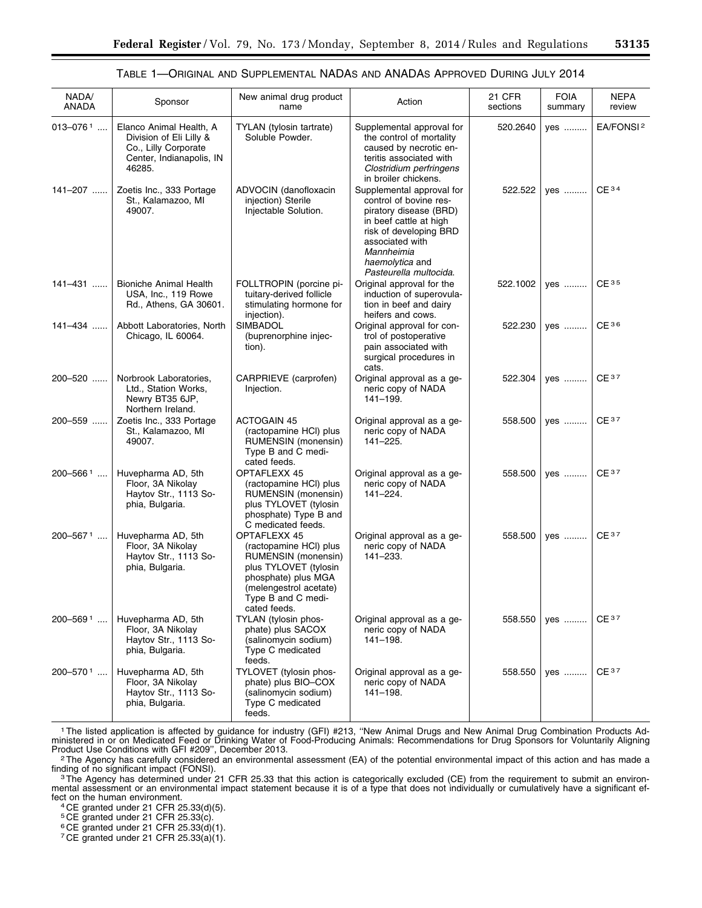## TABLE 1—ORIGINAL AND SUPPLEMENTAL NADAS AND ANADAS APPROVED DURING JULY 2014

| NADA/<br>ANADA           | Sponsor                                                                                                          | New animal drug product<br>name                                                                                                                                               | Action                                                                                                                                                                                                          | 21 CFR<br>sections | <b>FOIA</b><br>summary | <b>NEPA</b><br>review |
|--------------------------|------------------------------------------------------------------------------------------------------------------|-------------------------------------------------------------------------------------------------------------------------------------------------------------------------------|-----------------------------------------------------------------------------------------------------------------------------------------------------------------------------------------------------------------|--------------------|------------------------|-----------------------|
| $013 - 076$ <sup>1</sup> | Elanco Animal Health, A<br>Division of Eli Lilly &<br>Co., Lilly Corporate<br>Center, Indianapolis, IN<br>46285. | TYLAN (tylosin tartrate)<br>Soluble Powder.                                                                                                                                   | Supplemental approval for<br>the control of mortality<br>caused by necrotic en-<br>teritis associated with<br>Clostridium perfringens<br>in broiler chickens.                                                   | 520.2640           | yes                    | EA/FONSI <sup>2</sup> |
| 141-207                  | Zoetis Inc., 333 Portage<br>St., Kalamazoo, MI<br>49007.                                                         | ADVOCIN (danofloxacin<br>injection) Sterile<br>Injectable Solution.                                                                                                           | Supplemental approval for<br>control of bovine res-<br>piratory disease (BRD)<br>in beef cattle at high<br>risk of developing BRD<br>associated with<br>Mannheimia<br>haemolytica and<br>Pasteurella multocida. | 522.522            | yes                    | CE <sup>34</sup>      |
| 141-431                  | <b>Bioniche Animal Health</b><br>USA, Inc., 119 Rowe<br>Rd., Athens, GA 30601.                                   | FOLLTROPIN (porcine pi-<br>tuitary-derived follicle<br>stimulating hormone for<br>injection).                                                                                 | Original approval for the<br>induction of superovula-<br>tion in beef and dairy<br>heifers and cows.                                                                                                            | 522.1002           | yes                    | CE <sup>35</sup>      |
| 141-434                  | Abbott Laboratories, North<br>Chicago, IL 60064.                                                                 | SIMBADOL<br>(buprenorphine injec-<br>tion).                                                                                                                                   | Original approval for con-<br>trol of postoperative<br>pain associated with<br>surgical procedures in<br>cats.                                                                                                  | 522.230            | yes                    | CE <sub>36</sub>      |
| 200-520                  | Norbrook Laboratories,<br>Ltd., Station Works,<br>Newry BT35 6JP,<br>Northern Ireland.                           | CARPRIEVE (carprofen)<br>Injection.                                                                                                                                           | Original approval as a ge-<br>neric copy of NADA<br>141-199.                                                                                                                                                    | 522.304            | ves                    | CE <sup>37</sup>      |
| 200-559                  | Zoetis Inc., 333 Portage<br>St., Kalamazoo, MI<br>49007.                                                         | <b>ACTOGAIN 45</b><br>(ractopamine HCI) plus<br>RUMENSIN (monensin)<br>Type B and C medi-<br>cated feeds.                                                                     | Original approval as a ge-<br>neric copy of NADA<br>141-225.                                                                                                                                                    | 558.500            | yes                    | CE <sup>37</sup>      |
| $200 - 566$ <sup>1</sup> | Huvepharma AD, 5th<br>Floor, 3A Nikolay<br>Haytov Str., 1113 So-<br>phia, Bulgaria.                              | OPTAFLEXX 45<br>(ractopamine HCI) plus<br>RUMENSIN (monensin)<br>plus TYLOVET (tylosin<br>phosphate) Type B and<br>C medicated feeds.                                         | Original approval as a ge-<br>neric copy of NADA<br>141-224.                                                                                                                                                    | 558.500            | yes                    | CE <sub>37</sub>      |
| 200-5671                 | Huvepharma AD, 5th<br>Floor, 3A Nikolay<br>Haytov Str., 1113 So-<br>phia, Bulgaria.                              | OPTAFLEXX 45<br>(ractopamine HCI) plus<br>RUMENSIN (monensin)<br>plus TYLOVET (tylosin<br>phosphate) plus MGA<br>(melengestrol acetate)<br>Type B and C medi-<br>cated feeds. | Original approval as a ge-<br>neric copy of NADA<br>141-233.                                                                                                                                                    | 558.500            | yes                    | CE <sub>37</sub>      |
| $200 - 569$ <sup>1</sup> | Huvepharma AD, 5th<br>Floor, 3A Nikolay<br>Haytov Str., 1113 So-<br>phia, Bulgaria.                              | TYLAN (tylosin phos-<br>phate) plus SACOX<br>(salinomycin sodium)<br>Type C medicated<br>feeds.                                                                               | Original approval as a ge-<br>neric copy of NADA<br>141-198.                                                                                                                                                    | 558.550            | yes                    | CE <sup>37</sup>      |
| $200 - 570$ <sup>1</sup> | Huvepharma AD, 5th<br>Floor, 3A Nikolay<br>Haytov Str., 1113 So-<br>phia, Bulgaria.                              | TYLOVET (tylosin phos-<br>phate) plus BIO-COX<br>(salinomycin sodium)<br>Type C medicated<br>feeds.                                                                           | Original approval as a ge-<br>neric copy of NADA<br>$141 - 198.$                                                                                                                                                | 558.550            | yes                    | $CE^{37}$             |

1The listed application is affected by guidance for industry (GFI) #213, ''New Animal Drugs and New Animal Drug Combination Products Administered in or on Medicated Feed or Drinking Water of Food-Producing Animals: Recommendations for Drug Sponsors for Voluntarily Aligning

Product Use Conditions with GFI #209", December 2013.<br><sup>2</sup>The Agency has carefully considered an environmental assessment (EA) of the potential environmental impact of this action and has made a

finding of no significant impact (FONSI).<br><sup>3</sup>The Agency has determined under 21 CFR 25.33 that this action is categorically excluded (CE) from the requirement to submit an environmental assessment or an environmental impact statement because it is of a type that does not individually or cumulatively have a significant ef-

fect on the human environment.<br><sup>4</sup> CE granted under 21 CFR 25.33(d)(5).

5 CE granted under 21 CFR 25.33(c).

 $^6$  CE granted under 21 CFR 25.33(d)(1).

7 CE granted under 21 CFR 25.33(a)(1).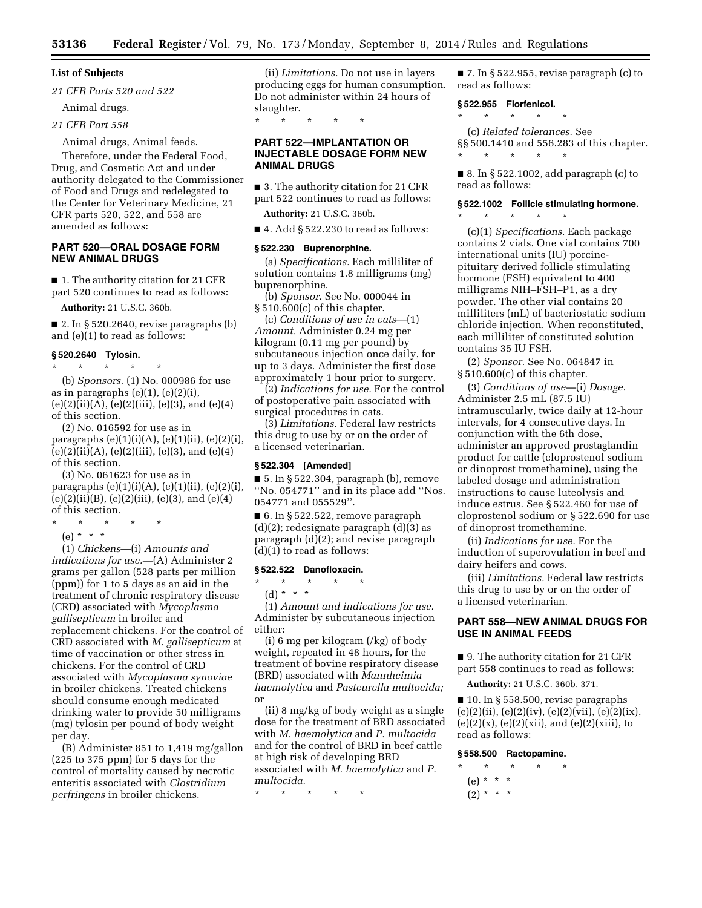\* \* \* \* \*

**ANIMAL DRUGS** 

## **List of Subjects**

*21 CFR Parts 520 and 522* 

Animal drugs.

*21 CFR Part 558* 

Animal drugs, Animal feeds.

Therefore, under the Federal Food, Drug, and Cosmetic Act and under authority delegated to the Commissioner of Food and Drugs and redelegated to the Center for Veterinary Medicine, 21 CFR parts 520, 522, and 558 are amended as follows:

## **PART 520—ORAL DOSAGE FORM NEW ANIMAL DRUGS**

■ 1. The authority citation for 21 CFR part 520 continues to read as follows:

**Authority:** 21 U.S.C. 360b.

 $\blacksquare$  2. In § 520.2640, revise paragraphs (b) and (e)(1) to read as follows:

## **§ 520.2640 Tylosin.**

\* \* \* \* \*

(b) *Sponsors.* (1) No. 000986 for use as in paragraphs  $(e)(1)$ ,  $(e)(2)(i)$ ,  $(e)(2)(ii)(A), (e)(2)(iii), (e)(3), and (e)(4)$ of this section.

(2) No. 016592 for use as in paragraphs (e)(1)(i)(A), (e)(1)(ii), (e)(2)(i),  $(e)(2)(ii)(A), (e)(2)(iii), (e)(3), and (e)(4)$ of this section.

(3) No. 061623 for use as in paragraphs  $(e)(1)(i)(A)$ ,  $(e)(1)(ii)$ ,  $(e)(2)(i)$ ,  $(e)(2)(ii)(B), (e)(2)(iii), (e)(3), and (e)(4)$ of this section.

- \* \* \* \* \*
- (e) \* \* \*

(1) *Chickens*—(i) *Amounts and indications for use.—*(A) Administer 2 grams per gallon (528 parts per million (ppm)) for 1 to 5 days as an aid in the treatment of chronic respiratory disease (CRD) associated with *Mycoplasma gallisepticum* in broiler and replacement chickens. For the control of CRD associated with *M. gallisepticum* at time of vaccination or other stress in chickens. For the control of CRD associated with *Mycoplasma synoviae*  in broiler chickens. Treated chickens should consume enough medicated drinking water to provide 50 milligrams (mg) tylosin per pound of body weight per day.

(B) Administer 851 to 1,419 mg/gallon (225 to 375 ppm) for 5 days for the control of mortality caused by necrotic enteritis associated with *Clostridium perfringens* in broiler chickens.

(ii) *Limitations.* Do not use in layers producing eggs for human consumption. Do not administer within 24 hours of slaughter.

# **PART 522—IMPLANTATION OR INJECTABLE DOSAGE FORM NEW**

■ 3. The authority citation for 21 CFR part 522 continues to read as follows:

**Authority:** 21 U.S.C. 360b.

 $\blacksquare$  4. Add § 522.230 to read as follows:

### **§ 522.230 Buprenorphine.**

(a) *Specifications.* Each milliliter of solution contains 1.8 milligrams (mg) buprenorphine.

(b) *Sponsor.* See No. 000044 in § 510.600(c) of this chapter.

(c) *Conditions of use in cats*—(1) *Amount.* Administer 0.24 mg per kilogram (0.11 mg per pound) by subcutaneous injection once daily, for up to 3 days. Administer the first dose approximately 1 hour prior to surgery.

(2) *Indications for use.* For the control of postoperative pain associated with surgical procedures in cats.

(3) *Limitations.* Federal law restricts this drug to use by or on the order of a licensed veterinarian.

#### **§ 522.304 [Amended]**

■ 5. In § 522.304, paragraph (b), remove ''No. 054771'' and in its place add ''Nos. 054771 and 055529''.

■ 6. In § 522.522, remove paragraph (d)(2); redesignate paragraph (d)(3) as paragraph (d)(2); and revise paragraph (d)(1) to read as follows:

#### **§ 522.522 Danofloxacin.**

\* \* \* \* \* (d) \* \* \*

(1) *Amount and indications for use.*  Administer by subcutaneous injection either:

(i) 6 mg per kilogram (/kg) of body weight, repeated in 48 hours, for the treatment of bovine respiratory disease (BRD) associated with *Mannheimia haemolytica* and *Pasteurella multocida;*  or

(ii) 8 mg/kg of body weight as a single dose for the treatment of BRD associated with *M. haemolytica* and *P. multocida*  and for the control of BRD in beef cattle at high risk of developing BRD associated with *M. haemolytica* and *P. multocida.* 

\* \* \* \* \*

■ 7. In § 522.955, revise paragraph (c) to read as follows:

#### **§ 522.955 Florfenicol.**

\* \* \* \* \*

(c) *Related tolerances.* See §§ 500.1410 and 556.283 of this chapter.  $\star$   $\star$   $\star$ 

■ 8. In § 522.1002, add paragraph (c) to read as follows:

# **§ 522.1002 Follicle stimulating hormone.**

\* \* \* \* \*

(c)(1) *Specifications.* Each package contains 2 vials. One vial contains 700 international units (IU) porcinepituitary derived follicle stimulating hormone (FSH) equivalent to 400 milligrams NIH–FSH–P1, as a dry powder. The other vial contains 20 milliliters (mL) of bacteriostatic sodium chloride injection. When reconstituted, each milliliter of constituted solution contains 35 IU FSH.

(2) *Sponsor.* See No. 064847 in § 510.600(c) of this chapter.

(3) *Conditions of use—*(i) *Dosage.*  Administer 2.5 mL (87.5 IU) intramuscularly, twice daily at 12-hour intervals, for 4 consecutive days. In conjunction with the 6th dose, administer an approved prostaglandin product for cattle (cloprostenol sodium or dinoprost tromethamine), using the labeled dosage and administration instructions to cause luteolysis and induce estrus. See § 522.460 for use of cloprostenol sodium or § 522.690 for use of dinoprost tromethamine.

(ii) *Indications for use.* For the induction of superovulation in beef and dairy heifers and cows.

(iii) *Limitations.* Federal law restricts this drug to use by or on the order of a licensed veterinarian.

## **PART 558—NEW ANIMAL DRUGS FOR USE IN ANIMAL FEEDS**

■ 9. The authority citation for 21 CFR part 558 continues to read as follows:

**Authority:** 21 U.S.C. 360b, 371.

■ 10. In § 558.500, revise paragraphs  $(e)(2)(ii), (e)(2)(iv), (e)(2)(vii), (e)(2)(ix),$  $(e)(2)(x)$ ,  $(e)(2)(xii)$ , and  $(e)(2)(xiii)$ , to read as follows:

### **§ 558.500 Ractopamine.**

 $\star$   $\quad$   $\star$   $\quad$   $\star$ (e) \* \* \*

 $(2) * * * *$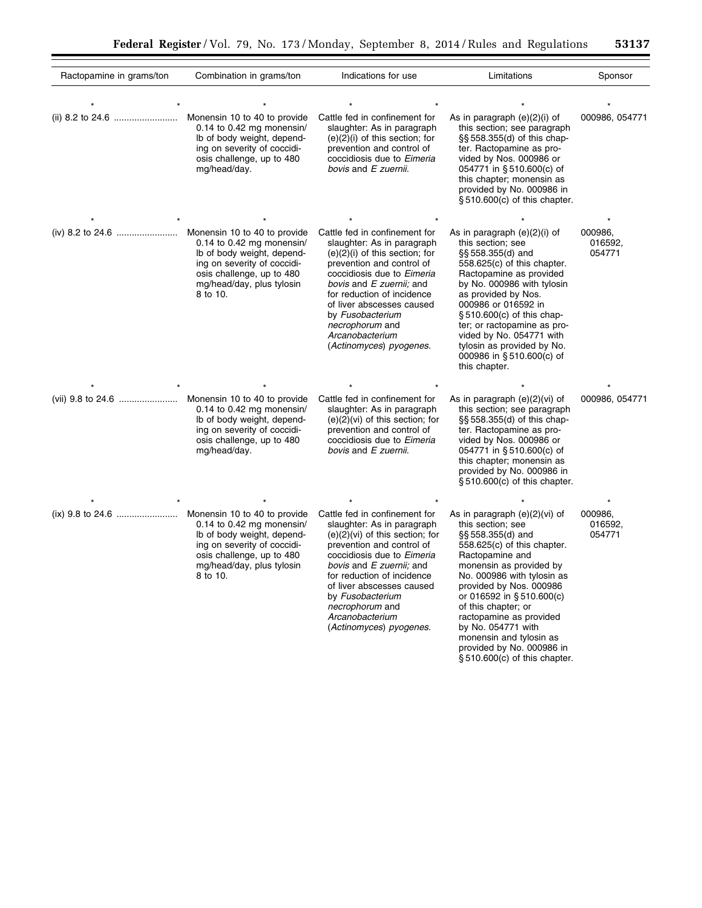$\equiv$ 

| Ractopamine in grams/ton | Combination in grams/ton                                                                                                                                            | Indications for use                                                                                                                                                                                                                                                                                                                     | Limitations                                                                                                                                                                                                                                                                                                                                                                                                  | Sponsor                      |
|--------------------------|---------------------------------------------------------------------------------------------------------------------------------------------------------------------|-----------------------------------------------------------------------------------------------------------------------------------------------------------------------------------------------------------------------------------------------------------------------------------------------------------------------------------------|--------------------------------------------------------------------------------------------------------------------------------------------------------------------------------------------------------------------------------------------------------------------------------------------------------------------------------------------------------------------------------------------------------------|------------------------------|
|                          |                                                                                                                                                                     |                                                                                                                                                                                                                                                                                                                                         |                                                                                                                                                                                                                                                                                                                                                                                                              |                              |
|                          | Monensin 10 to 40 to provide<br>0.14 to 0.42 mg monensin/<br>Ib of body weight, depend-<br>ing on severity of coccidi-<br>osis challenge, up to 480<br>mg/head/day. | Cattle fed in confinement for<br>slaughter: As in paragraph<br>$(e)(2)(i)$ of this section; for<br>prevention and control of<br>coccidiosis due to Eimeria<br>bovis and E zuernii.                                                                                                                                                      | As in paragraph $(e)(2)(i)$ of<br>this section; see paragraph<br>§§ 558.355(d) of this chap-<br>ter. Ractopamine as pro-<br>vided by Nos. 000986 or<br>054771 in §510.600(c) of<br>this chapter; monensin as<br>provided by No. 000986 in<br>§510.600(c) of this chapter.                                                                                                                                    | 000986, 054771               |
|                          |                                                                                                                                                                     |                                                                                                                                                                                                                                                                                                                                         |                                                                                                                                                                                                                                                                                                                                                                                                              |                              |
|                          | 0.14 to 0.42 mg monensin/<br>Ib of body weight, depend-<br>ing on severity of coccidi-<br>osis challenge, up to 480<br>mg/head/day, plus tylosin<br>8 to 10.        | Cattle fed in confinement for<br>slaughter: As in paragraph<br>$(e)(2)(i)$ of this section; for<br>prevention and control of<br>coccidiosis due to Eimeria<br>bovis and E zuernii; and<br>for reduction of incidence<br>of liver abscesses caused<br>by Fusobacterium<br>necrophorum and<br>Arcanobacterium<br>(Actinomyces) pyogenes.  | As in paragraph $(e)(2)(i)$ of<br>this section; see<br>§§ 558.355(d) and<br>558.625(c) of this chapter.<br>Ractopamine as provided<br>by No. 000986 with tylosin<br>as provided by Nos.<br>000986 or 016592 in<br>§ 510.600(c) of this chap-<br>ter; or ractopamine as pro-<br>vided by No. 054771 with<br>tylosin as provided by No.<br>000986 in §510.600(c) of<br>this chapter.                           | 000986.<br>016592,<br>054771 |
|                          |                                                                                                                                                                     |                                                                                                                                                                                                                                                                                                                                         |                                                                                                                                                                                                                                                                                                                                                                                                              |                              |
|                          | Monensin 10 to 40 to provide<br>0.14 to 0.42 mg monensin/<br>Ib of body weight, depend-<br>ing on severity of coccidi-<br>osis challenge, up to 480<br>mg/head/day. | Cattle fed in confinement for<br>slaughter: As in paragraph<br>$(e)(2)(vi)$ of this section; for<br>prevention and control of<br>coccidiosis due to Eimeria<br>bovis and E zuernii.                                                                                                                                                     | As in paragraph (e)(2)(vi) of<br>this section; see paragraph<br>§§ 558.355(d) of this chap-<br>ter. Ractopamine as pro-<br>vided by Nos. 000986 or<br>054771 in §510.600(c) of<br>this chapter; monensin as<br>provided by No. 000986 in<br>§510.600(c) of this chapter.                                                                                                                                     | 000986, 054771               |
|                          |                                                                                                                                                                     |                                                                                                                                                                                                                                                                                                                                         |                                                                                                                                                                                                                                                                                                                                                                                                              |                              |
|                          | 0.14 to 0.42 mg monensin/<br>Ib of body weight, depend-<br>ing on severity of coccidi-<br>osis challenge, up to 480<br>mg/head/day, plus tylosin<br>8 to 10.        | Cattle fed in confinement for<br>slaughter: As in paragraph<br>$(e)(2)(vi)$ of this section; for<br>prevention and control of<br>coccidiosis due to Eimeria<br>bovis and E zuernii; and<br>for reduction of incidence<br>of liver abscesses caused<br>by Fusobacterium<br>necrophorum and<br>Arcanobacterium<br>(Actinomyces) pyogenes. | As in paragraph (e)(2)(vi) of<br>this section; see<br>§§ 558.355(d) and<br>558.625(c) of this chapter.<br>Ractopamine and<br>monensin as provided by<br>No. 000986 with tylosin as<br>provided by Nos. 000986<br>or 016592 in §510.600(c)<br>of this chapter; or<br>ractopamine as provided<br>by No. 054771 with<br>monensin and tylosin as<br>provided by No. 000986 in<br>$§ 510.600(c)$ of this chapter. | 000986,<br>016592,<br>054771 |